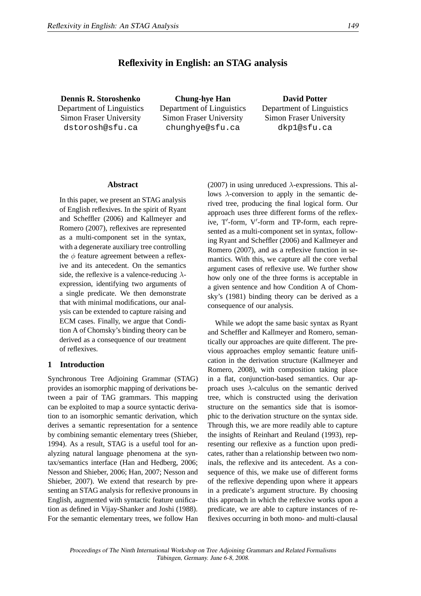# **Reflexivity in English: an STAG analysis**

**Dennis R. Storoshenko** Department of Linguistics Simon Fraser University dstorosh@sfu.ca

**Chung-hye Han** Department of Linguistics Simon Fraser University chunghye@sfu.ca

**David Potter** Department of Linguistics Simon Fraser University dkp1@sfu.ca

#### **Abstract**

In this paper, we present an STAG analysis of English reflexives. In the spirit of Ryant and Scheffler (2006) and Kallmeyer and Romero (2007), reflexives are represented as a multi-component set in the syntax, with a degenerate auxiliary tree controlling the  $\phi$  feature agreement between a reflexive and its antecedent. On the semantics side, the reflexive is a valence-reducing  $\lambda$ expression, identifying two arguments of a single predicate. We then demonstrate that with minimal modifications, our analysis can be extended to capture raising and ECM cases. Finally, we argue that Condition A of Chomsky's binding theory can be derived as a consequence of our treatment of reflexives.

### **1 Introduction**

Synchronous Tree Adjoining Grammar (STAG) provides an isomorphic mapping of derivations between a pair of TAG grammars. This mapping can be exploited to map a source syntactic derivation to an isomorphic semantic derivation, which derives a semantic representation for a sentence by combining semantic elementary trees (Shieber, 1994). As a result, STAG is a useful tool for analyzing natural language phenomena at the syntax/semantics interface (Han and Hedberg, 2006; Nesson and Shieber, 2006; Han, 2007; Nesson and Shieber, 2007). We extend that research by presenting an STAG analysis for reflexive pronouns in English, augmented with syntactic feature unification as defined in Vijay-Shanker and Joshi (1988). For the semantic elementary trees, we follow Han (2007) in using unreduced  $\lambda$ -expressions. This allows  $\lambda$ -conversion to apply in the semantic derived tree, producing the final logical form. Our approach uses three different forms of the reflexive, T′ -form, V′ -form and TP-form, each represented as a multi-component set in syntax, following Ryant and Scheffler (2006) and Kallmeyer and Romero (2007), and as a reflexive function in semantics. With this, we capture all the core verbal argument cases of reflexive use. We further show how only one of the three forms is acceptable in a given sentence and how Condition A of Chomsky's (1981) binding theory can be derived as a consequence of our analysis.

While we adopt the same basic syntax as Ryant and Scheffler and Kallmeyer and Romero, semantically our approaches are quite different. The previous approaches employ semantic feature unification in the derivation structure (Kallmeyer and Romero, 2008), with composition taking place in a flat, conjunction-based semantics. Our approach uses  $\lambda$ -calculus on the semantic derived tree, which is constructed using the derivation structure on the semantics side that is isomorphic to the derivation structure on the syntax side. Through this, we are more readily able to capture the insights of Reinhart and Reuland (1993), representing our reflexive as a function upon predicates, rather than a relationship between two nominals, the reflexive and its antecedent. As a consequence of this, we make use of different forms of the reflexive depending upon where it appears in a predicate's argument structure. By choosing this approach in which the reflexive works upon a predicate, we are able to capture instances of reflexives occurring in both mono- and multi-clausal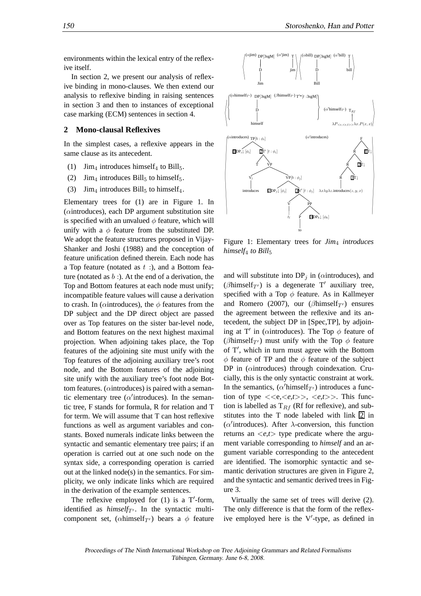environments within the lexical entry of the reflexive itself.

In section 2, we present our analysis of reflexive binding in mono-clauses. We then extend our analysis to reflexive binding in raising sentences in section 3 and then to instances of exceptional case marking (ECM) sentences in section 4.

### **2 Mono-clausal Reflexives**

In the simplest cases, a reflexive appears in the same clause as its antecedent.

- (1)  $\text{Jim}_4$  introduces himself<sub>4</sub> to Bill<sub>5</sub>.
- (2)  $\text{Jim}_4$  introduces Bill<sub>5</sub> to himself<sub>5</sub>.
- (3) Jim<sub>4</sub> introduces Bill<sub>5</sub> to himself<sub>4</sub>.

Elementary trees for (1) are in Figure 1. In (αintroduces), each DP argument substitution site is specified with an unvalued  $\phi$  feature, which will unify with a  $\phi$  feature from the substituted DP. We adopt the feature structures proposed in Vijay-Shanker and Joshi (1988) and the conception of feature unification defined therein. Each node has a Top feature (notated as  $t$  :), and a Bottom feature (notated as  $b$  :). At the end of a derivation, the Top and Bottom features at each node must unify; incompatible feature values will cause a derivation to crash. In ( $\alpha$ introduces), the  $\phi$  features from the DP subject and the DP direct object are passed over as Top features on the sister bar-level node, and Bottom features on the next highest maximal projection. When adjoining takes place, the Top features of the adjoining site must unify with the Top features of the adjoining auxiliary tree's root node, and the Bottom features of the adjoining site unify with the auxiliary tree's foot node Bottom features. ( $\alpha$ introduces) is paired with a semantic elementary tree ( $\alpha'$ introduces). In the semantic tree, F stands for formula, R for relation and T for term. We will assume that T can host reflexive functions as well as argument variables and constants. Boxed numerals indicate links between the syntactic and semantic elementary tree pairs; if an operation is carried out at one such node on the syntax side, a corresponding operation is carried out at the linked node(s) in the semantics. For simplicity, we only indicate links which are required in the derivation of the example sentences.

The reflexive employed for  $(1)$  is a T'-form, identified as  $himself<sub>T'</sub>$ . In the syntactic multicomponent set, ( $\alpha$ himself<sub>T'</sub>) bears a  $\phi$  feature

 $(x|i$ m) DP[3sgM] D Jim (α ′ jim) T  $\int_{\text{jim}}^{\text{T}} \frac{1}{\sqrt{\frac{\text{(cbil)}}{\text{p}}}}$ D Bill (α  $\gamma$ <sup>'bill</sup>)  $\tau$ bill  $\mathbf{H}$  $\left(\alpha himself_{T'}) \text{ DP[3sgM]} \right)$  (*β*himself<sub>T'</sub>)  $T'*[t : 3sgM]$ ) D himself (α  $\text{Z}'$ himself $T'$ )  $T_{Rj}$  $\lambda P_{\langle e,\langle e,t\rangle\rangle}\lambda x.P(x,x)$  $\mathcal{L}$  $\text{TP}[b : \phi_i]$  $\text{IDP}_i\downarrow [\phi_i]$  $'[t : \phi_i]$ T VP  $V_l$ introduces  $\sum_{\mathbf{V} \in [b : \phi_j]}$  $2DP_i|_{q}$  $\ell$  [t :  $\phi_j$ ]  $\lambda x \lambda y \lambda z$ . introduces  $(z, y, x)$ V  $t_l$ PP P to  $3DP_k \downarrow [\phi_k]$  $(\alpha'$  introduces) F R R R  $\overrightarrow{3}$ T↓  $\vec{2}\Gamma$ 1T↓ **Contract Contract Contract Contract** 

Figure 1: Elementary trees for *Jim*4 *introduces himself*4 *to Bill*5

and will substitute into  $DP<sub>j</sub>$  in ( $\alpha$ introduces), and ( $\beta$ himself<sub>T'</sub>) is a degenerate T' auxiliary tree, specified with a Top  $\phi$  feature. As in Kallmeyer and Romero (2007), our ( $\beta$ himself<sub>T'</sub>) ensures the agreement between the reflexive and its antecedent, the subject DP in [Spec,TP], by adjoining at T' in ( $\alpha$ introduces). The Top  $\phi$  feature of ( $\beta$ himself<sub>T'</sub>) must unify with the Top  $\phi$  feature of T′ , which in turn must agree with the Bottom  $\phi$  feature of TP and the  $\phi$  feature of the subject DP in (αintroduces) through coindexation. Crucially, this is the only syntactic constraint at work. In the semantics,  $(\alpha'$ himself<sub>T'</sub>) introduces a function of type  $\langle \langle e, \langle e, t \rangle \rangle, \langle e, t \rangle \rangle$ . This function is labelled as  $T_{Rf}$  (Rf for reflexive), and substitutes into the T node labeled with link  $\boxed{2}$  in ( $\alpha'$ introduces). After  $\lambda$ -conversion, this function returns an  $\langle e, t \rangle$  type predicate where the argument variable corresponding to *himself* and an argument variable corresponding to the antecedent are identified. The isomorphic syntactic and semantic derivation structures are given in Figure 2, and the syntactic and semantic derived trees in Figure 3.

Virtually the same set of trees will derive (2). The only difference is that the form of the reflexive employed here is the V′ -type, as defined in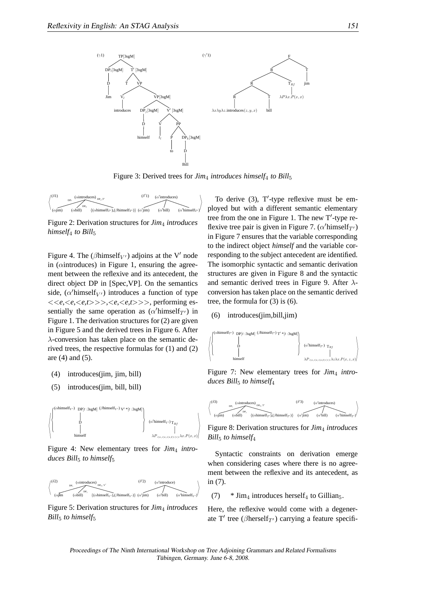

Figure 3: Derived trees for *Jim<sub>4</sub> introduces himself<sub>4</sub> to Bill*<sub>5</sub>



Figure 2: Derivation structures for *Jim*4 *introduces himself<sub>4</sub> to Bill<sub>5</sub>* 

Figure 4. The ( $\beta$ himself<sub>V'</sub>) adjoins at the V' node in ( $\alpha$ introduces) in Figure 1, ensuring the agreement between the reflexive and its antecedent, the direct object DP in [Spec,VP]. On the semantics side,  $(\alpha'$ himself<sub>V'</sub>) introduces a function of type <<*e*,<*e*,<*e,t*>>>,<*e*,<*e,t*>>>, performing essentially the same operation as  $(\alpha'$ himself<sub>T'</sub>) in Figure 1. The derivation structures for (2) are given in Figure 5 and the derived trees in Figure 6. After  $\lambda$ -conversion has taken place on the semantic derived trees, the respective formulas for (1) and (2) are (4) and (5).

- (4) introduces(jim, jim, bill)
- (5) introduces(jim, bill, bill)



Figure 4: New elementary trees for *Jim<sub>4</sub>* intro*duces Bill*5 *to himself*5



Figure 5: Derivation structures for *Jim*4 *introduces Bill*5 *to himself*5

To derive (3), T'-type reflexive must be employed but with a different semantic elementary tree from the one in Figure 1. The new T′ -type reflexive tree pair is given in Figure 7.  $(\alpha'$ himself<sub>T'</sub>) in Figure 7 ensures that the variable corresponding to the indirect object *himself* and the variable corresponding to the subject antecedent are identified. The isomorphic syntactic and semantic derivation structures are given in Figure 8 and the syntactic and semantic derived trees in Figure 9. After  $\lambda$ conversion has taken place on the semantic derived tree, the formula for (3) is (6).

(6) introduces(jim,bill,jim)



Figure 7: New elementary trees for *Jim*4 *introduces Bill*5 *to himself*4



Figure 8: Derivation structures for *Jim*4 *introduces Bill*5 *to himself*4

Syntactic constraints on derivation emerge when considering cases where there is no agreement between the reflexive and its antecedent, as in (7).

(7)  $* \text{Jim}_4$  introduces herself<sub>4</sub> to Gillian<sub>5</sub>.

Here, the reflexive would come with a degenerate T' tree ( $\beta$ herself<sub>T'</sub>) carrying a feature specifi-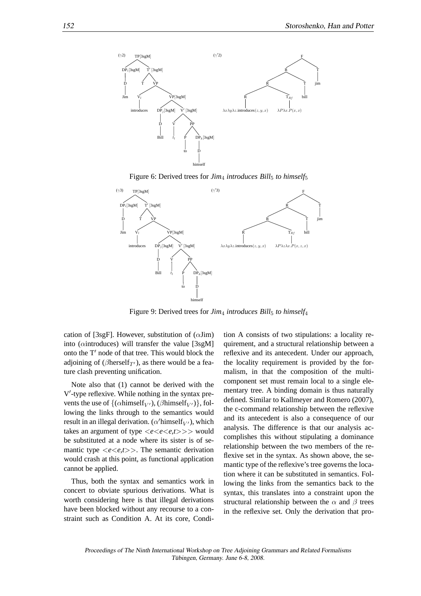

Figure 6: Derived trees for *Jim<sub>4</sub> introduces Bill*<sub>5</sub> *to himself*<sub>5</sub>



Figure 9: Derived trees for *Jim<sub>4</sub> introduces Bill*<sub>5</sub> *to himself<sub>4</sub>* 

cation of [3sgF]. However, substitution of  $(\alpha \text{Jim})$ into ( $\alpha$ introduces) will transfer the value [ $3$ sgM] onto the T′ node of that tree. This would block the adjoining of ( $\beta$ herself<sub>T'</sub>), as there would be a feature clash preventing unification.

Note also that (1) cannot be derived with the V ′ -type reflexive. While nothing in the syntax prevents the use of  $\{(\alpha \text{himself}_{V'})\}, (\beta \text{himself}_{V'})\},$  following the links through to the semantics would result in an illegal derivation. ( $\alpha'$ himself<sub>V'</sub>), which takes an argument of type  $\langle e \langle e, t \rangle \rangle$  would be substituted at a node where its sister is of semantic type <*e*<*e,t*>>. The semantic derivation would crash at this point, as functional application cannot be applied.

Thus, both the syntax and semantics work in concert to obviate spurious derivations. What is worth considering here is that illegal derivations have been blocked without any recourse to a constraint such as Condition A. At its core, Condition A consists of two stipulations: a locality requirement, and a structural relationship between a reflexive and its antecedent. Under our approach, the locality requirement is provided by the formalism, in that the composition of the multicomponent set must remain local to a single elementary tree. A binding domain is thus naturally defined. Similar to Kallmeyer and Romero (2007), the c-command relationship between the reflexive and its antecedent is also a consequence of our analysis. The difference is that our analysis accomplishes this without stipulating a dominance relationship between the two members of the reflexive set in the syntax. As shown above, the semantic type of the reflexive's tree governs the location where it can be substituted in semantics. Following the links from the semantics back to the syntax, this translates into a constraint upon the structural relationship between the  $\alpha$  and  $\beta$  trees in the reflexive set. Only the derivation that pro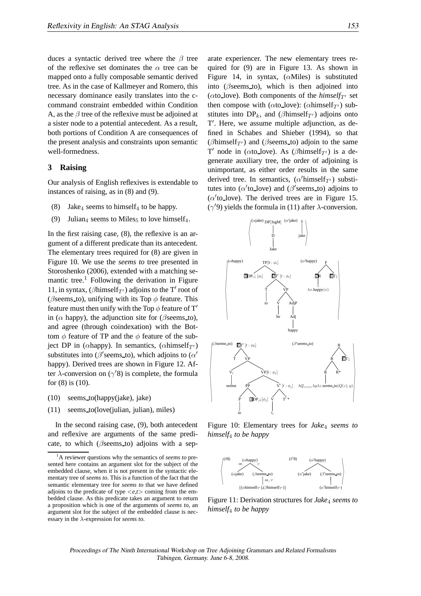duces a syntactic derived tree where the  $\beta$  tree of the reflexive set dominates the  $\alpha$  tree can be mapped onto a fully composable semantic derived tree. As in the case of Kallmeyer and Romero, this necessary dominance easily translates into the ccommand constraint embedded within Condition A, as the  $\beta$  tree of the reflexive must be adjoined at a sister node to a potential antecedent. As a result, both portions of Condition A are consequences of the present analysis and constraints upon semantic well-formedness.

# **3 Raising**

Our analysis of English reflexives is extendable to instances of raising, as in (8) and (9).

- (8) Jake<sub>4</sub> seems to himself<sub>4</sub> to be happy.
- (9) Julian<sub>4</sub> seems to Miles<sub>5</sub> to love himself<sub>4</sub>.

In the first raising case, (8), the reflexive is an argument of a different predicate than its antecedent. The elementary trees required for (8) are given in Figure 10. We use the *seems to* tree presented in Storoshenko (2006), extended with a matching semantic tree.<sup>1</sup> Following the derivation in Figure 11, in syntax, ( $\beta$ himself<sub>T'</sub>) adjoins to the T' root of ( $\beta$ seems\_to), unifying with its Top  $\phi$  feature. This feature must then unify with the Top  $\phi$  feature of T' in ( $\alpha$  happy), the adjunction site for ( $\beta$ seems to), and agree (through coindexation) with the Bottom  $\phi$  feature of TP and the  $\phi$  feature of the subject DP in ( $\alpha$ happy). In semantics, ( $\alpha$ himself<sub>T'</sub>) substitutes into ( $\beta$ ' seems to), which adjoins to ( $\alpha'$ happy). Derived trees are shown in Figure 12. After  $\lambda$ -conversion on ( $\gamma$ '8) is complete, the formula for (8) is (10).

- (10) seems to(happy(jake), jake)
- (11) seems to(love(julian, julian), miles)

In the second raising case, (9), both antecedent and reflexive are arguments of the same predicate, to which ( $\beta$ seems\_to) adjoins with a separate experiencer. The new elementary trees required for (9) are in Figure 13. As shown in Figure 14, in syntax,  $(\alpha M$ iles) is substituted into ( $\beta$ seems\_to), which is then adjoined into ( $\alpha$ to love). Both components of the *himself* $T'$  set then compose with ( $\alpha$ to\_love): ( $\alpha$ himself<sub>T'</sub>) substitutes into  $DP_k$ , and ( $\beta$ himself<sub>T'</sub>) adjoins onto T ′ . Here, we assume multiple adjunction, as defined in Schabes and Shieber (1994), so that ( $\beta$ himself<sub>T'</sub>) and ( $\beta$ seems\_to) adjoin to the same T' node in ( $\alpha$ to\_love). As ( $\beta$ himself<sub>T'</sub>) is a degenerate auxiliary tree, the order of adjoining is unimportant, as either order results in the same derived tree. In semantics,  $(\alpha'$ himself<sub>T'</sub>) substitutes into ( $\alpha'$ to\_love) and ( $\beta'$ seems\_to) adjoins to ( $\alpha$ 'to\_love). The derived trees are in Figure 15. (γ ′9) yields the formula in (11) after λ-conversion.



Figure 10: Elementary trees for *Jake*4 *seems to himself*4 *to be happy*



Figure 11: Derivation structures for *Jake<sub>A</sub>* seems to *himself*4 *to be happy*

Proceedings of The Ninth International Workshop on Tree Adjoining Grammars and Related Formalisms Tübingen, Germany. June 6-8, 2008.

<sup>1</sup>A reviewer questions why the semantics of *seems to* presented here contains an argument slot for the subject of the embedded clause, when it is not present in the syntactic elementary tree of *seems to*. This is a function of the fact that the semantic elementary tree for *seems to* that we have defined adjoins to the predicate of type <*e,t*> coming from the embedded clause. As this predicate takes an argument to return a proposition which is one of the arguments of *seems to*, an argument slot for the subject of the embedded clause is necessary in the λ-expression for *seems to*.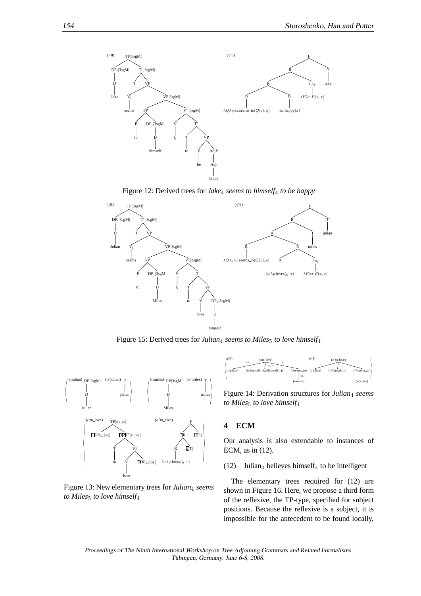

Figure 12: Derived trees for *Jake*4 *seems to himself*4 *to be happy*



Figure 15: Derived trees for *Julian<sub>4</sub> seems to Miles<sub>5</sub> to love himself<sub>4</sub>* 



Figure 13: New elementary trees for *Julian*<sub>4</sub> seems *to Miles<sub>5</sub> to love himself*<sup>4</sup>



Figure 14: Derivation structures for *Julian*4 *seems to Miles*5 *to love himself*4

## **4 ECM**

Our analysis is also extendable to instances of ECM, as in (12).

(12) Julian<sub>4</sub> believes himself<sub>4</sub> to be intelligent

The elementary trees required for (12) are shown in Figure 16. Here, we propose a third form of the reflexive, the TP-type, specified for subject positions. Because the reflexive is a subject, it is impossible for the antecedent to be found locally,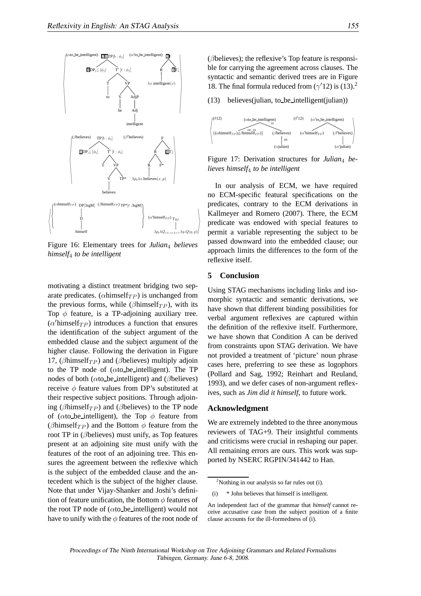

Figure 16: Elementary trees for *Julian*4 *believes himself*4 *to be intelligent*

motivating a distinct treatment bridging two separate predicates. ( $\alpha$ himself $_{TP}$ ) is unchanged from the previous forms, while ( $\beta$ himself $_{TP}$ ), with its Top  $\phi$  feature, is a TP-adjoining auxiliary tree.  $(\alpha'$ himself $_{TP}$ ) introduces a function that ensures the identification of the subject argument of the embedded clause and the subject argument of the higher clause. Following the derivation in Figure 17, ( $\beta$ himself $_{TP}$ ) and ( $\beta$ believes) multiply adjoin to the TP node of ( $\alpha$ to be intelligent). The TP nodes of both ( $\alpha$ to be intelligent) and ( $\beta$ believes) receive  $\phi$  feature values from DP's substituted at their respective subject positions. Through adjoining ( $\beta$ himself $_{TP}$ ) and ( $\beta$ believes) to the TP node of ( $\alpha$ to be intelligent), the Top  $\phi$  feature from ( $\beta$ himself<sub>TP</sub>) and the Bottom  $\phi$  feature from the root TP in (βbelieves) must unify, as Top features present at an adjoining site must unify with the features of the root of an adjoining tree. This ensures the agreement between the reflexive which is the subject of the embedded clause and the antecedent which is the subject of the higher clause. Note that under Vijay-Shanker and Joshi's definition of feature unification, the Bottom  $\phi$  features of the root TP node of  $(\alpha$ to be intelligent) would not have to unify with the  $\phi$  features of the root node of (βbelieves); the reflexive's Top feature is responsible for carrying the agreement across clauses. The syntactic and semantic derived trees are in Figure 18. The final formula reduced from  $(\gamma'12)$  is  $(13).$ <sup>2</sup>

(13) believes(julian, to be intelligent(julian))



Figure 17: Derivation structures for *Julian*<sup>4</sup> *believes himself*4 *to be intelligent*

In our analysis of ECM, we have required no ECM-specific featural specifications on the predicates, contrary to the ECM derivations in Kallmeyer and Romero (2007). There, the ECM predicate was endowed with special features to permit a variable representing the subject to be passed downward into the embedded clause; our approach limits the differences to the form of the reflexive itself.

### **5 Conclusion**

 $\mathcal{L}$ 

Using STAG mechanisms including links and isomorphic syntactic and semantic derivations, we have shown that different binding possibilities for verbal argument reflexives are captured within the definition of the reflexive itself. Furthermore, we have shown that Condition A can be derived from constraints upon STAG derivation. We have not provided a treatment of 'picture' noun phrase cases here, preferring to see these as logophors (Pollard and Sag, 1992; Reinhart and Reuland, 1993), and we defer cases of non-argument reflexives, such as *Jim did it himself*, to future work.

### **Acknowledgment**

We are extremely indebted to the three anonymous reviewers of TAG+9. Their insightful comments and criticisms were crucial in reshaping our paper. All remaining errors are ours. This work was supported by NSERC RGPIN/341442 to Han.

 $2$ Nothing in our analysis so far rules out (i).

<sup>(</sup>i) \* John believes that himself is intelligent.

An independent fact of the grammar that *himself* cannot receive accusative case from the subject position of a finite clause accounts for the ill-formedness of (i).